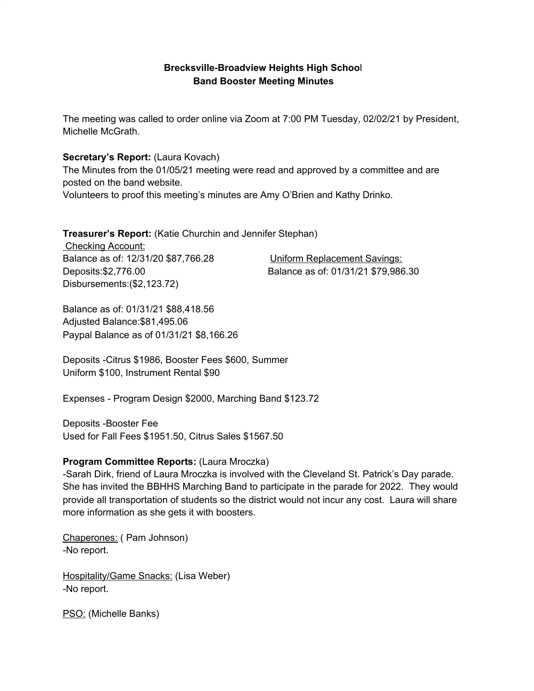## **Brecksville-Broadview Heights High Schoo**l **Band Booster Meeting Minutes**

The meeting was called to order online via Zoom at 7:00 PM Tuesday, 02/02/21 by President, Michelle McGrath.

## **Secretary's Report:** (Laura Kovach)

The Minutes from the 01/05/21 meeting were read and approved by a committee and are posted on the band website. Volunteers to proof this meeting's minutes are Amy O'Brien and Kathy Drinko.

**Treasurer's Report:** (Katie Churchin and Jennifer Stephan)

Checking Account: Balance as of: 12/31/20 \$87,766.28 Uniform Replacement Savings: Disbursements:(\$2,123.72)

Deposits:\$2,776.00 Balance as of: 01/31/21 \$79,986.30

Balance as of: 01/31/21 \$88,418.56 Adjusted Balance:\$81,495.06 Paypal Balance as of 01/31/21 \$8,166.26

Deposits -Citrus \$1986, Booster Fees \$600, Summer Uniform \$100, Instrument Rental \$90

Expenses - Program Design \$2000, Marching Band \$123.72

Deposits -Booster Fee Used for Fall Fees \$1951.50, Citrus Sales \$1567.50

## **Program Committee Reports:** (Laura Mroczka)

-Sarah Dirk, friend of Laura Mroczka is involved with the Cleveland St. Patrick's Day parade. She has invited the BBHHS Marching Band to participate in the parade for 2022. They would provide all transportation of students so the district would not incur any cost. Laura will share more information as she gets it with boosters.

Chaperones: ( Pam Johnson) -No report.

Hospitality/Game Snacks: (Lisa Weber) -No report.

PSO: (Michelle Banks)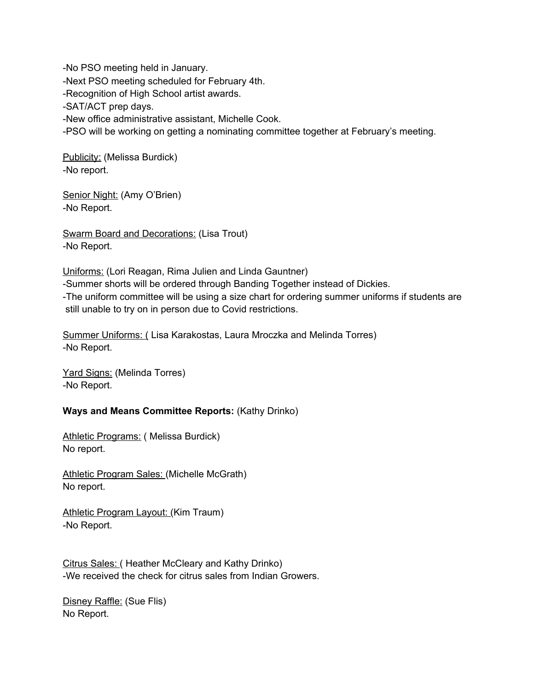-No PSO meeting held in January. -Next PSO meeting scheduled for February 4th. -Recognition of High School artist awards. -SAT/ACT prep days. -New office administrative assistant, Michelle Cook. -PSO will be working on getting a nominating committee together at February's meeting.

Publicity: (Melissa Burdick) -No report.

Senior Night: (Amy O'Brien) -No Report.

Swarm Board and Decorations: (Lisa Trout) -No Report.

Uniforms: (Lori Reagan, Rima Julien and Linda Gauntner) -Summer shorts will be ordered through Banding Together instead of Dickies. -The uniform committee will be using a size chart for ordering summer uniforms if students are still unable to try on in person due to Covid restrictions.

Summer Uniforms: ( Lisa Karakostas, Laura Mroczka and Melinda Torres) -No Report.

Yard Signs: (Melinda Torres) -No Report.

## **Ways and Means Committee Reports:** (Kathy Drinko)

Athletic Programs: (Melissa Burdick) No report.

Athletic Program Sales: (Michelle McGrath) No report.

Athletic Program Layout: (Kim Traum) -No Report.

Citrus Sales: ( Heather McCleary and Kathy Drinko) -We received the check for citrus sales from Indian Growers.

Disney Raffle: (Sue Flis) No Report.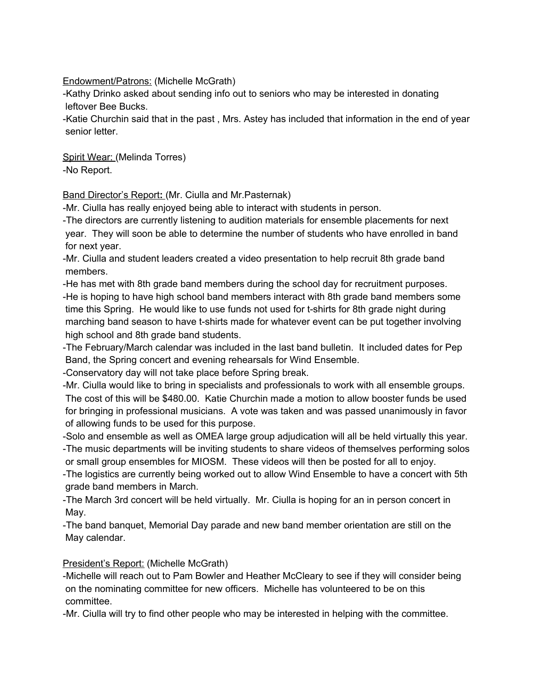Endowment/Patrons: (Michelle McGrath)

-Kathy Drinko asked about sending info out to seniors who may be interested in donating leftover Bee Bucks.

-Katie Churchin said that in the past , Mrs. Astey has included that information in the end of year senior letter.

Spirit Wear: (Melinda Torres) -No Report.

Band Director's Report**:** (Mr. Ciulla and Mr.Pasternak)

-Mr. Ciulla has really enjoyed being able to interact with students in person.

-The directors are currently listening to audition materials for ensemble placements for next year. They will soon be able to determine the number of students who have enrolled in band for next year.

-Mr. Ciulla and student leaders created a video presentation to help recruit 8th grade band members.

-He has met with 8th grade band members during the school day for recruitment purposes. -He is hoping to have high school band members interact with 8th grade band members some time this Spring. He would like to use funds not used for t-shirts for 8th grade night during marching band season to have t-shirts made for whatever event can be put together involving high school and 8th grade band students.

-The February/March calendar was included in the last band bulletin. It included dates for Pep Band, the Spring concert and evening rehearsals for Wind Ensemble.

-Conservatory day will not take place before Spring break.

-Mr. Ciulla would like to bring in specialists and professionals to work with all ensemble groups. The cost of this will be \$480.00. Katie Churchin made a motion to allow booster funds be used for bringing in professional musicians. A vote was taken and was passed unanimously in favor of allowing funds to be used for this purpose.

-Solo and ensemble as well as OMEA large group adjudication will all be held virtually this year.

-The music departments will be inviting students to share videos of themselves performing solos or small group ensembles for MIOSM. These videos will then be posted for all to enjoy.

-The logistics are currently being worked out to allow Wind Ensemble to have a concert with 5th grade band members in March.

-The March 3rd concert will be held virtually. Mr. Ciulla is hoping for an in person concert in May.

-The band banquet, Memorial Day parade and new band member orientation are still on the May calendar.

President's Report: (Michelle McGrath)

-Michelle will reach out to Pam Bowler and Heather McCleary to see if they will consider being on the nominating committee for new officers. Michelle has volunteered to be on this committee.

-Mr. Ciulla will try to find other people who may be interested in helping with the committee.